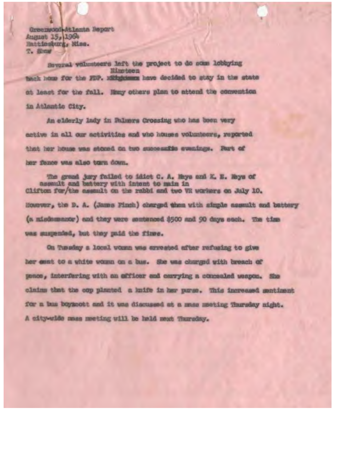Greenwood Atlanta Baport August 15, 1964 Matticulari, Miss. 7. Sheat

Several volunteers left the project to do nome lobbying **Miretoen** tack home for the FDP. Mitghtware have decided to stay in the state at least for the fall. Neay others plan to sttend the convention in Atlantic City.

An olderly lady in Rubers Crossing who has been very active in all our activities and who houses volunteers, reported that her house was stored on two successits swanings. Part of her fance was also turn down.

The grand jury failed to idiot C. A. Mays and K. E. Mays of assmult and battery with intent to main in Clifton for the assault on the rabbi and two VE workers on July 10. However, the D. A. (James Finch) charged them with simple assembt and battery (a misdamentor) and they were sentenced \$500 and 90 days such. The time ons suspended, but they paid the fires.

On Tunsday a local women was errested after refusing to give her east to a white woman on a bus. She was charged with breach of posoo, interfaring with an afficer and carrying a concealed weapon. She claims that the cop planted a knife in her purse. This increased mentionat for a bas buygoott and it was diacuseed at a mass meeting Thursday night. A city-wide mass meeting will be hald meet Thursday.